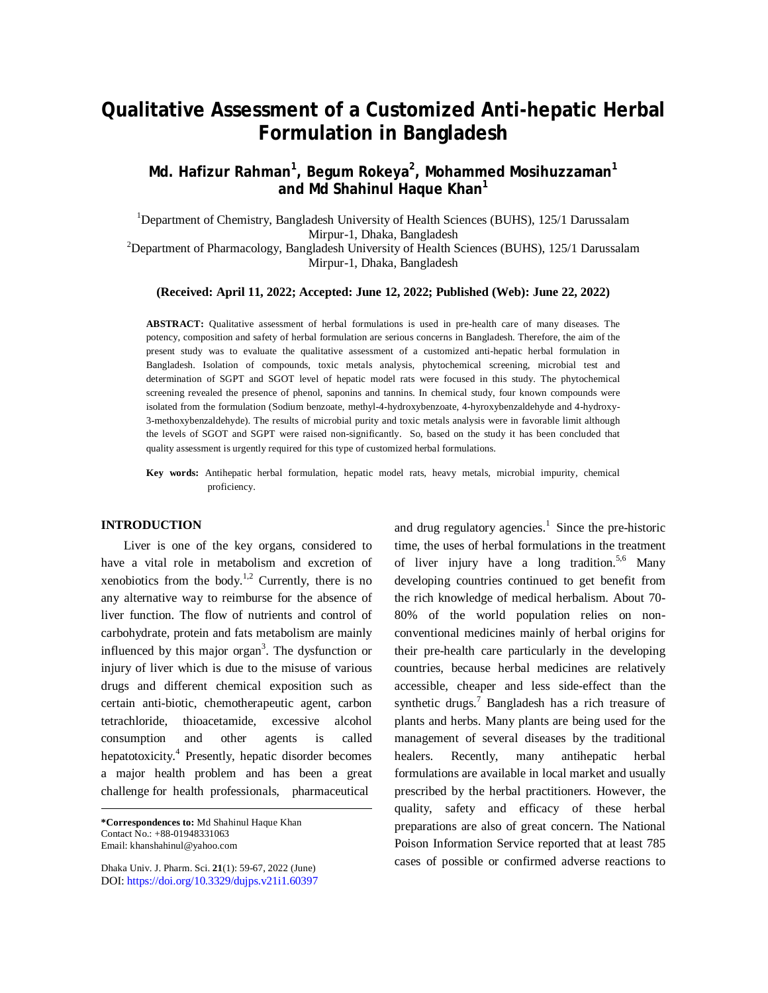# **Qualitative Assessment of a Customized Anti-hepatic Herbal Formulation in Bangladesh**

# **Md. Hafizur Rahman<sup>1</sup> , Begum Rokeya<sup>2</sup> , Mohammed Mosihuzzaman<sup>1</sup> and Md Shahinul Haque Khan<sup>1</sup>**

<sup>1</sup>Department of Chemistry, Bangladesh University of Health Sciences (BUHS), 125/1 Darussalam Mirpur-1, Dhaka, Bangladesh  $2$ Department of Pharmacology, Bangladesh University of Health Sciences (BUHS), 125/1 Darussalam Mirpur-1, Dhaka, Bangladesh

#### **(Received: April 11, 2022; Accepted: June 12, 2022; Published (Web): June 22, 2022)**

**ABSTRACT:** Qualitative assessment of herbal formulations is used in pre-health care of many diseases. The potency, composition and safety of herbal formulation are serious concerns in Bangladesh. Therefore, the aim of the present study was to evaluate the qualitative assessment of a customized anti-hepatic herbal formulation in Bangladesh. Isolation of compounds, toxic metals analysis, phytochemical screening, microbial test and determination of SGPT and SGOT level of hepatic model rats were focused in this study. The phytochemical screening revealed the presence of phenol, saponins and tannins. In chemical study, four known compounds were isolated from the formulation (Sodium benzoate, methyl-4-hydroxybenzoate, 4-hyroxybenzaldehyde and 4-hydroxy-3-methoxybenzaldehyde). The results of microbial purity and toxic metals analysis were in favorable limit although the levels of SGOT and SGPT were raised non-significantly. So, based on the study it has been concluded that quality assessment is urgently required for this type of customized herbal formulations.

**Key words:** Antihepatic herbal formulation, hepatic model rats, heavy metals, microbial impurity, chemical proficiency.

# **INTRODUCTION**

Liver is one of the key organs, considered to have a vital role in metabolism and excretion of xenobiotics from the body.<sup>1,2</sup> Currently, there is no any alternative way to reimburse for the absence of liver function. The flow of nutrients and control of carbohydrate, protein and fats metabolism are mainly influenced by this major organ<sup>3</sup>. The dysfunction or injury of liver which is due to the misuse of various drugs and different chemical exposition such as certain anti-biotic, chemotherapeutic agent, carbon tetrachloride, thioacetamide, excessive alcohol consumption and other agents is called hepatotoxicity. 4 Presently, hepatic disorder becomes a major health problem and has been a great challenge for health professionals, pharmaceutical

Dhaka Univ. J. Pharm. Sci. **21**(1): 59-67, 2022 (June) DOI:<https://doi.org/10.3329/dujps.v21i1.60397>

and drug regulatory agencies. 1 Since the pre-historic time, the uses of herbal formulations in the treatment of liver injury have a long tradition. 5,6 Many developing countries continued to get benefit from the rich knowledge of medical herbalism. About 70- 80% of the world population relies on nonconventional medicines mainly of herbal origins for their pre-health care particularly in the developing countries, because herbal medicines are relatively accessible, cheaper and less side-effect than the synthetic drugs. <sup>7</sup> Bangladesh has a rich treasure of plants and herbs. Many plants are being used for the management of several diseases by the traditional healers. Recently, many antihepatic herbal formulations are available in local market and usually prescribed by the herbal practitioners. However, the quality, safety and efficacy of these herbal preparations are also of great concern. The National Poison Information Service reported that at least 785 cases of possible or confirmed adverse reactions to

**<sup>\*</sup>Correspondences to:** Md Shahinul Haque Khan Contact No.: +88-01948331063 Email: [khanshahinul@yahoo.com](mailto:khanshahinul@yahoo.com)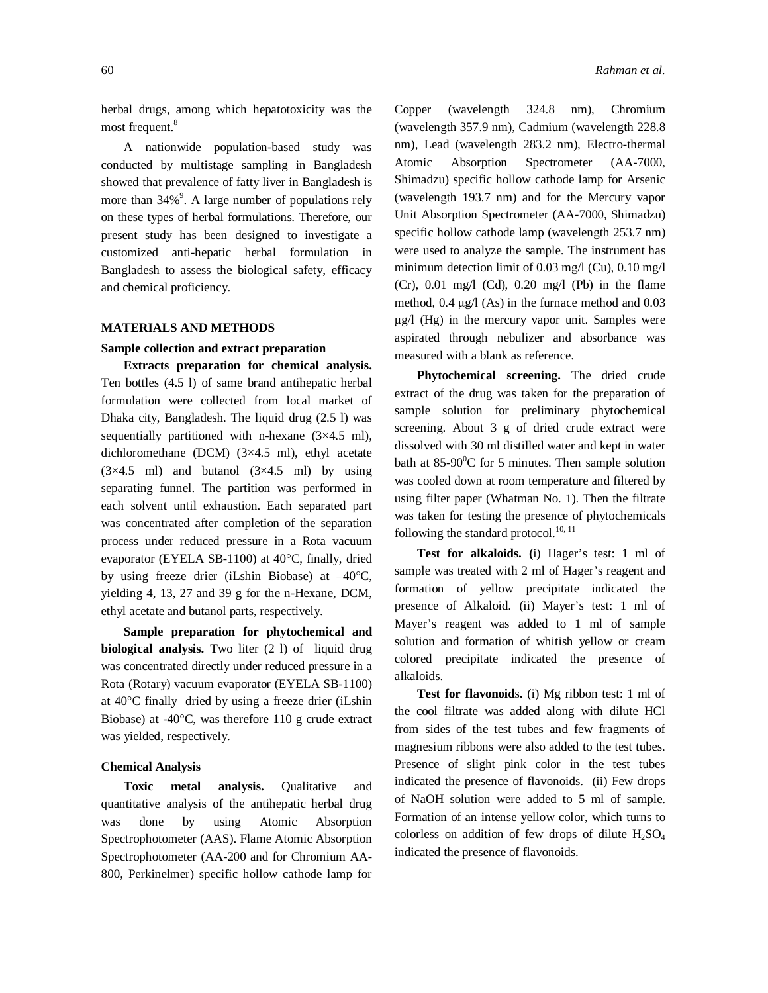herbal drugs, among which hepatotoxicity was the most frequent.<sup>8</sup>

A nationwide population-based study was conducted by multistage sampling in Bangladesh showed that prevalence of fatty liver in Bangladesh is more than 34%<sup>9</sup>. A large number of populations rely on these types of herbal formulations. Therefore, our present study has been designed to investigate a customized anti-hepatic herbal formulation in Bangladesh to assess the biological safety, efficacy and chemical proficiency.

#### **MATERIALS AND METHODS**

## **Sample collection and extract preparation**

**Extracts preparation for chemical analysis.**  Ten bottles (4.5 l) of same brand antihepatic herbal formulation were collected from local market of Dhaka city, Bangladesh. The liquid drug (2.5 l) was sequentially partitioned with n-hexane (3×4.5 ml), dichloromethane (DCM) (3×4.5 ml), ethyl acetate  $(3\times4.5$  ml) and butanol  $(3\times4.5$  ml) by using separating funnel. The partition was performed in each solvent until exhaustion. Each separated part was concentrated after completion of the separation process under reduced pressure in a Rota vacuum evaporator (EYELA SB-1100) at 40°C, finally, dried by using freeze drier (iLshin Biobase) at  $-40^{\circ}$ C, yielding 4, 13, 27 and 39 g for the n-Hexane, DCM, ethyl acetate and butanol parts, respectively.

**Sample preparation for phytochemical and biological analysis.** Two liter (2 l) of liquid drug was concentrated directly under reduced pressure in a Rota (Rotary) vacuum evaporator (EYELA SB-1100) at 40C finally dried by using a freeze drier (iLshin Biobase) at  $-40^{\circ}$ C, was therefore 110 g crude extract was yielded, respectively.

#### **Chemical Analysis**

**Toxic metal analysis.** Qualitative and quantitative analysis of the antihepatic herbal drug was done by using Atomic Absorption Spectrophotometer (AAS). Flame Atomic Absorption Spectrophotometer (AA-200 and for Chromium AA-800, Perkinelmer) specific hollow cathode lamp for Copper (wavelength 324.8 nm), Chromium (wavelength 357.9 nm), Cadmium (wavelength 228.8 nm), Lead (wavelength 283.2 nm), Electro-thermal Atomic Absorption Spectrometer (AA-7000, Shimadzu) specific hollow cathode lamp for Arsenic (wavelength 193.7 nm) and for the Mercury vapor Unit Absorption Spectrometer (AA-7000, Shimadzu) specific hollow cathode lamp (wavelength 253.7 nm) were used to analyze the sample. The instrument has minimum detection limit of 0.03 mg/l (Cu), 0.10 mg/l  $(Cr)$ , 0.01 mg/l  $(Cd)$ , 0.20 mg/l  $(Pb)$  in the flame method, 0.4 μg/l (As) in the furnace method and 0.03 μg/l (Hg) in the mercury vapor unit. Samples were aspirated through nebulizer and absorbance was measured with a blank as reference.

**Phytochemical screening.** The dried crude extract of the drug was taken for the preparation of sample solution for preliminary phytochemical screening. About 3 g of dried crude extract were dissolved with 30 ml distilled water and kept in water bath at  $85-90^{\circ}$ C for 5 minutes. Then sample solution was cooled down at room temperature and filtered by using filter paper (Whatman No. 1). Then the filtrate was taken for testing the presence of phytochemicals following the standard protocol.<sup>10, 11</sup>

**Test for alkaloids. (**i) Hager's test: 1 ml of sample was treated with 2 ml of Hager's reagent and formation of yellow precipitate indicated the presence of Alkaloid. (ii) Mayer's test: 1 ml of Mayer's reagent was added to 1 ml of sample solution and formation of whitish yellow or cream colored precipitate indicated the presence of alkaloids.

**Test for flavonoid**s**.** (i) Mg ribbon test: 1 ml of the cool filtrate was added along with dilute HCl from sides of the test tubes and few fragments of magnesium ribbons were also added to the test tubes. Presence of slight pink color in the test tubes indicated the presence of flavonoids. (ii) Few drops of NaOH solution were added to 5 ml of sample. Formation of an intense yellow color, which turns to colorless on addition of few drops of dilute  $H_2SO_4$ indicated the presence of flavonoids.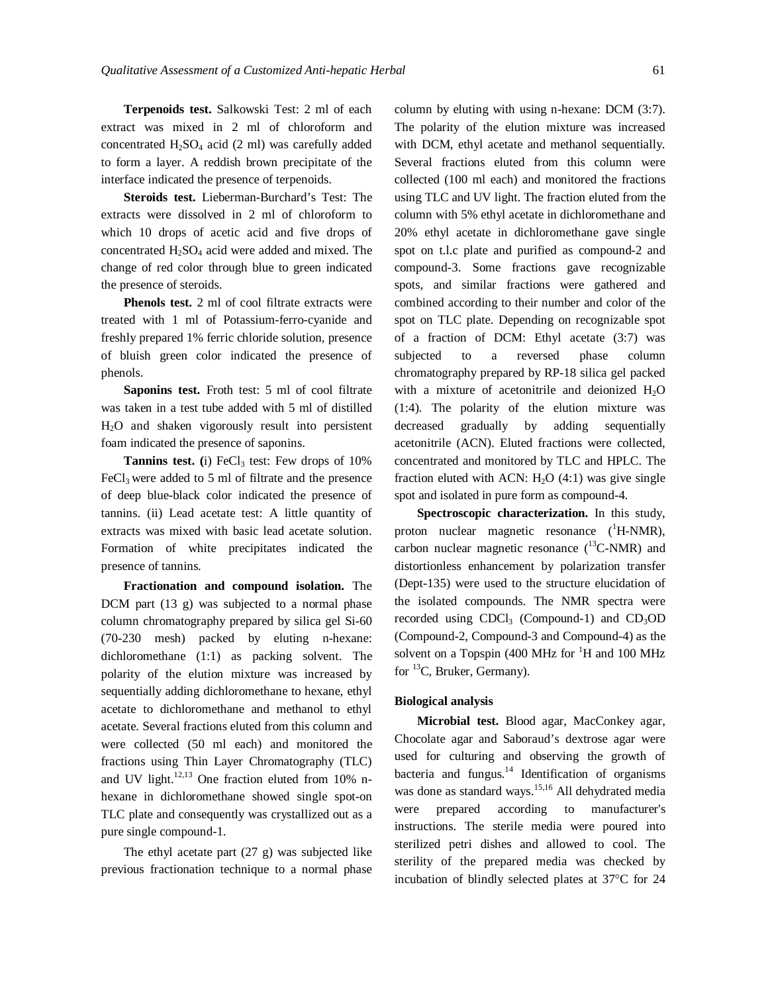**Terpenoids test.** Salkowski Test: 2 ml of each extract was mixed in 2 ml of chloroform and concentrated  $H_2SO_4$  acid (2 ml) was carefully added to form a layer. A reddish brown precipitate of the interface indicated the presence of terpenoids.

**Steroids test.** Lieberman-Burchard's Test: The extracts were dissolved in 2 ml of chloroform to which 10 drops of acetic acid and five drops of concentrated  $H_2SO_4$  acid were added and mixed. The change of red color through blue to green indicated the presence of steroids.

**Phenols test.** 2 ml of cool filtrate extracts were treated with 1 ml of Potassium-ferro-cyanide and freshly prepared 1% ferric chloride solution, presence of bluish green color indicated the presence of phenols.

**Saponins test.** Froth test: 5 ml of cool filtrate was taken in a test tube added with 5 ml of distilled H2O and shaken vigorously result into persistent foam indicated the presence of saponins.

**Tannins test.** (i) FeCl<sub>3</sub> test: Few drops of  $10\%$  $FeCl<sub>3</sub>$  were added to 5 ml of filtrate and the presence of deep blue-black color indicated the presence of tannins. (ii) Lead acetate test: A little quantity of extracts was mixed with basic lead acetate solution. Formation of white precipitates indicated the presence of tannins.

**Fractionation and compound isolation.** The DCM part (13 g) was subjected to a normal phase column chromatography prepared by silica gel Si-60 (70-230 mesh) packed by eluting n-hexane: dichloromethane (1:1) as packing solvent. The polarity of the elution mixture was increased by sequentially adding dichloromethane to hexane, ethyl acetate to dichloromethane and methanol to ethyl acetate. Several fractions eluted from this column and were collected (50 ml each) and monitored the fractions using Thin Layer Chromatography (TLC) and UV light.<sup>12,13</sup> One fraction eluted from 10% nhexane in dichloromethane showed single spot-on TLC plate and consequently was crystallized out as a pure single compound-1.

The ethyl acetate part (27 g) was subjected like previous fractionation technique to a normal phase column by eluting with using n-hexane: DCM (3:7). The polarity of the elution mixture was increased with DCM, ethyl acetate and methanol sequentially. Several fractions eluted from this column were collected (100 ml each) and monitored the fractions using TLC and UV light. The fraction eluted from the column with 5% ethyl acetate in dichloromethane and 20% ethyl acetate in dichloromethane gave single spot on t.l.c plate and purified as compound-2 and compound-3. Some fractions gave recognizable spots, and similar fractions were gathered and combined according to their number and color of the spot on TLC plate. Depending on recognizable spot of a fraction of DCM: Ethyl acetate (3:7) was subjected to a reversed phase column chromatography prepared by RP-18 silica gel packed with a mixture of acetonitrile and deionized  $H_2O$ (1:4). The polarity of the elution mixture was decreased gradually by adding sequentially acetonitrile (ACN). Eluted fractions were collected, concentrated and monitored by TLC and HPLC. The fraction eluted with ACN:  $H_2O(4:1)$  was give single spot and isolated in pure form as compound-4.

**Spectroscopic characterization.** In this study, proton nuclear magnetic resonance  $(^1H\text{-}NMR)$ , carbon nuclear magnetic resonance  $(^{13}C\text{-NMR})$  and distortionless enhancement by polarization transfer (Dept-135) were used to the structure elucidation of the isolated compounds. The NMR spectra were recorded using  $CDCl<sub>3</sub>$  (Compound-1) and  $CD<sub>3</sub>OD$ (Compound-2, Compound-3 and Compound-4) as the solvent on a Topspin (400 MHz for  ${}^{1}H$  and 100 MHz for <sup>13</sup>C, Bruker, Germany).

### **Biological analysis**

**Microbial test.** Blood agar, MacConkey agar, Chocolate agar and Saboraud's dextrose agar were used for culturing and observing the growth of bacteria and fungus.<sup>14</sup> Identification of organisms was done as standard ways. 15,16 All dehydrated media were prepared according to manufacturer's instructions. The sterile media were poured into sterilized petri dishes and allowed to cool. The sterility of the prepared media was checked by incubation of blindly selected plates at  $37^{\circ}$ C for 24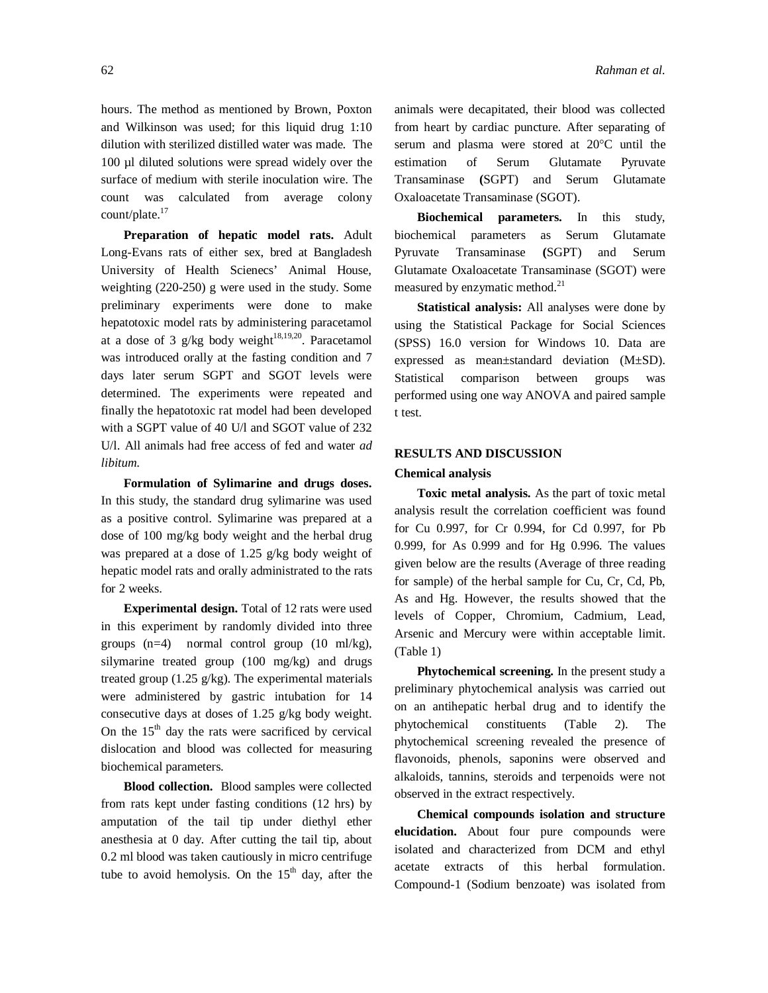hours. The method as mentioned by Brown, Poxton and Wilkinson was used; for this liquid drug 1:10 dilution with sterilized distilled water was made. The 100 µl diluted solutions were spread widely over the surface of medium with sterile inoculation wire. The count was calculated from average colony count/plate. 17

**Preparation of hepatic model rats.** Adult Long-Evans rats of either sex, bred at Bangladesh University of Health Scienecs' Animal House, weighting (220-250) g were used in the study. Some preliminary experiments were done to make hepatotoxic model rats by administering paracetamol at a dose of 3 g/kg body weight $18,19,20$ . Paracetamol was introduced orally at the fasting condition and 7 days later serum SGPT and SGOT levels were determined. The experiments were repeated and finally the hepatotoxic rat model had been developed with a SGPT value of 40 U/l and SGOT value of 232 U/l. All animals had free access of fed and water *ad libitum*.

**Formulation of Sylimarine and drugs doses.** In this study, the standard drug sylimarine was used as a positive control. Sylimarine was prepared at a dose of 100 mg/kg body weight and the herbal drug was prepared at a dose of 1.25 g/kg body weight of hepatic model rats and orally administrated to the rats for 2 weeks.

**Experimental design.** Total of 12 rats were used in this experiment by randomly divided into three groups (n=4) normal control group (10 ml/kg), silymarine treated group (100 mg/kg) and drugs treated group  $(1.25 \text{ g/kg})$ . The experimental materials were administered by gastric intubation for 14 consecutive days at doses of 1.25 g/kg body weight. On the  $15<sup>th</sup>$  day the rats were sacrificed by cervical dislocation and blood was collected for measuring biochemical parameters.

**Blood collection.** Blood samples were collected from rats kept under fasting conditions (12 hrs) by amputation of the tail tip under diethyl ether anesthesia at 0 day. After cutting the tail tip, about 0.2 ml blood was taken cautiously in micro centrifuge tube to avoid hemolysis. On the  $15<sup>th</sup>$  day, after the animals were decapitated, their blood was collected from heart by cardiac puncture. After separating of serum and plasma were stored at 20°C until the estimation of Serum Glutamate Pyruvate Transaminase **(**SGPT) and Serum Glutamate Oxaloacetate Transaminase (SGOT).

**Biochemical parameters.** In this study, biochemical parameters as Serum Glutamate Pyruvate Transaminase **(**SGPT) and Serum Glutamate Oxaloacetate Transaminase (SGOT) were measured by enzymatic method.<sup>21</sup>

**Statistical analysis:** All analyses were done by using the Statistical Package for Social Sciences (SPSS) 16.0 version for Windows 10. Data are expressed as mean±standard deviation (M±SD). Statistical comparison between groups was performed using one way ANOVA and paired sample t test.

# **RESULTS AND DISCUSSION**

#### **Chemical analysis**

**Toxic metal analysis.** As the part of toxic metal analysis result the correlation coefficient was found for Cu 0.997, for Cr 0.994, for Cd 0.997, for Pb 0.999, for As 0.999 and for Hg 0.996. The values given below are the results (Average of three reading for sample) of the herbal sample for Cu, Cr, Cd, Pb, As and Hg. However, the results showed that the levels of Copper, Chromium, Cadmium, Lead, Arsenic and Mercury were within acceptable limit. (Table 1)

**Phytochemical screening.** In the present study a preliminary phytochemical analysis was carried out on an antihepatic herbal drug and to identify the phytochemical constituents (Table 2). The phytochemical screening revealed the presence of flavonoids, phenols, saponins were observed and alkaloids, tannins, steroids and terpenoids were not observed in the extract respectively.

**Chemical compounds isolation and structure elucidation.** About four pure compounds were isolated and characterized from DCM and ethyl acetate extracts of this herbal formulation. Compound-1 (Sodium benzoate) was isolated from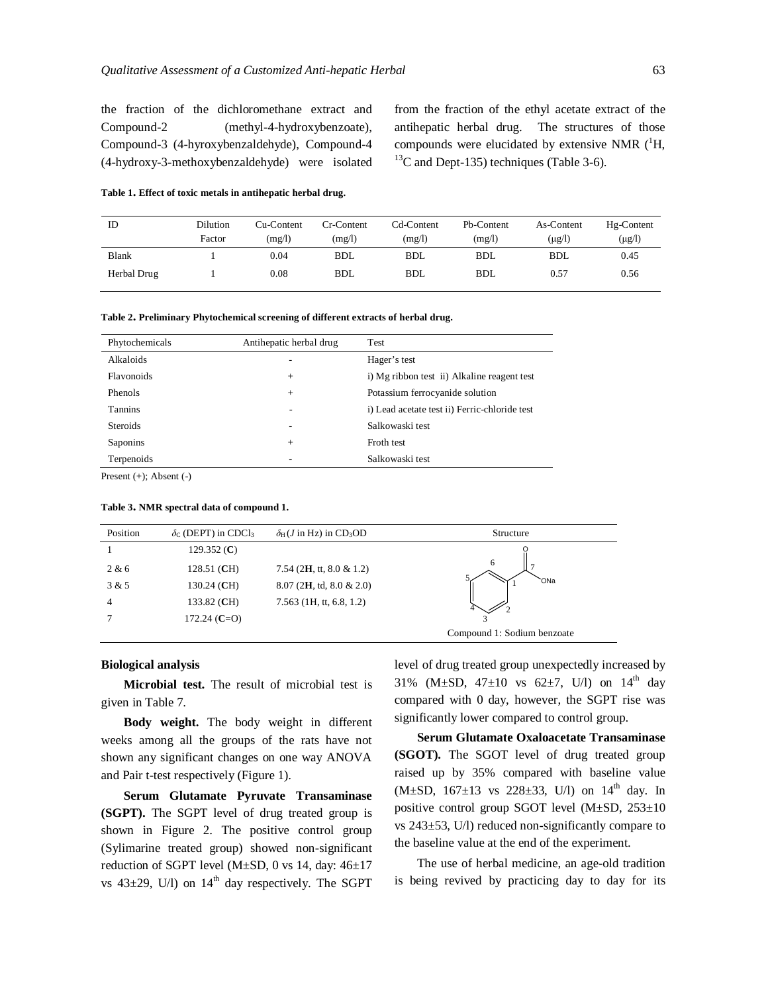the fraction of the dichloromethane extract and Compound-2 (methyl-4-hydroxybenzoate), Compound-3 (4-hyroxybenzaldehyde), Compound-4 (4-hydroxy-3-methoxybenzaldehyde) were isolated from the fraction of the ethyl acetate extract of the antihepatic herbal drug. The structures of those compounds were elucidated by extensive NMR  $(^1H,$  $^{13}$ C and Dept-135) techniques (Table 3-6).

| ID           | Dilution | Cu-Content | Cr-Content | Cd-Content | Pb-Content | As-Content  | Hg-Content  |
|--------------|----------|------------|------------|------------|------------|-------------|-------------|
|              | Factor   | (mg/l)     | (mg/l)     | (mg/l)     | (mg/l)     | $(\mu g/l)$ | $(\mu g/l)$ |
| <b>Blank</b> |          | 0.04       | <b>BDL</b> | <b>BDL</b> | <b>BDL</b> | <b>BDL</b>  | 0.45        |
| Herbal Drug  |          | 0.08       | <b>BDL</b> | <b>BDL</b> | <b>BDL</b> | 0.57        | 0.56        |

**Table 1. Effect of toxic metals in antihepatic herbal drug.**

| Phytochemicals    | Antihepatic herbal drug  | Test                                          |
|-------------------|--------------------------|-----------------------------------------------|
| <b>Alkaloids</b>  | $\overline{\phantom{a}}$ | Hager's test                                  |
| <b>Flavonoids</b> | $^{+}$                   | i) Mg ribbon test ii) Alkaline reagent test   |
| <b>Phenols</b>    | $^{+}$                   | Potassium ferrocyanide solution               |
| <b>Tannins</b>    | $\overline{\phantom{a}}$ | i) Lead acetate test ii) Ferric-chloride test |
| <b>Steroids</b>   | $\overline{\phantom{a}}$ | Salkowaski test                               |
| <b>Saponins</b>   | $^{+}$                   | Froth test                                    |
| Terpenoids        |                          | Salkowaski test                               |

Present (+); Absent (-)

| Position | $\delta_c$ (DEPT) in CDCl <sub>3</sub> | $\delta_H$ ( <i>J</i> in Hz) in CD <sub>3</sub> OD | Structure                   |
|----------|----------------------------------------|----------------------------------------------------|-----------------------------|
|          | 129.352 $(C)$                          |                                                    |                             |
| 2 & 6    | 128.51 (CH)                            | 7.54 (2H, tt, 8.0 & 1.2)                           | 6                           |
| 3 & 5    | 130.24 (CH)                            | $8.07$ (2H, td, $8.0 \& 2.0$ )                     | `ONa                        |
| 4        | 133.82 (CH)                            | $7.563$ (1H, tt, 6.8, 1.2)                         |                             |
|          | 172.24 ( $C=O$ )                       |                                                    |                             |
|          |                                        |                                                    | Compound 1: Sodium benzoate |

#### **Table 3. NMR spectral data of compound 1.**

#### **Biological analysis**

**Microbial test.** The result of microbial test is given in Table 7.

**Body weight.** The body weight in different weeks among all the groups of the rats have not shown any significant changes on one way ANOVA and Pair t-test respectively (Figure 1).

**Serum Glutamate Pyruvate Transaminase (SGPT).** The SGPT level of drug treated group is shown in Figure 2. The positive control group (Sylimarine treated group) showed non-significant reduction of SGPT level (M $\pm$ SD, 0 vs 14, day: 46 $\pm$ 17 vs  $43\pm29$ , U/l) on  $14<sup>th</sup>$  day respectively. The SGPT level of drug treated group unexpectedly increased by 31% (M $\pm$ SD, 47 $\pm$ 10 vs 62 $\pm$ 7, U/l) on 14<sup>th</sup> day compared with 0 day, however, the SGPT rise was significantly lower compared to control group.

**Serum Glutamate Oxaloacetate Transaminase (SGOT).** The SGOT level of drug treated group raised up by 35% compared with baseline value  $(M\pm SD, 167\pm 13$  vs  $228\pm 33$ , U/l) on  $14^{th}$  day. In positive control group SGOT level (M±SD, 253±10 vs 243±53, U/l) reduced non-significantly compare to the baseline value at the end of the experiment.

The use of herbal medicine, an age-old tradition is being revived by practicing day to day for its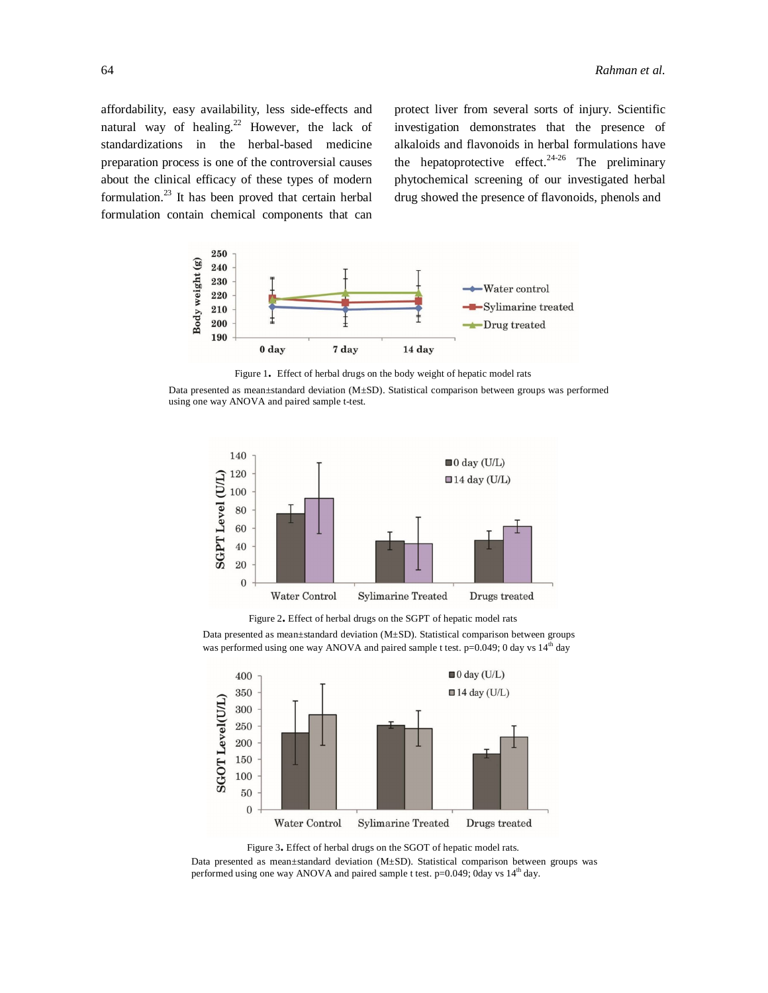affordability, easy availability, less side-effects and natural way of healing.<sup>22</sup> However, the lack of standardizations in the herbal-based medicine preparation process is one of the controversial causes about the clinical efficacy of these types of modern formulation. 23 It has been proved that certain herbal formulation contain chemical components that can

protect liver from several sorts of injury. Scientific investigation demonstrates that the presence of alkaloids and flavonoids in herbal formulations have the hepatoprotective effect.<sup>24-26</sup> The preliminary phytochemical screening of our investigated herbal drug showed the presence of flavonoids, phenols and



Figure 1**.** Effect of herbal drugs on the body weight of hepatic model rats

Data presented as mean±standard deviation (M±SD). Statistical comparison between groups was performed using one way ANOVA and paired sample t-test.



Figure 2**.** Effect of herbal drugs on the SGPT of hepatic model rats

Data presented as mean±standard deviation (M±SD). Statistical comparison between groups was performed using one way ANOVA and paired sample t test.  $p=0.049$ ; 0 day vs  $14<sup>th</sup>$  day



Figure 3**.** Effect of herbal drugs on the SGOT of hepatic model rats.

Data presented as mean±standard deviation (M±SD). Statistical comparison between groups was performed using one way ANOVA and paired sample t test.  $p=0.049$ ; 0day vs  $14<sup>th</sup>$  day.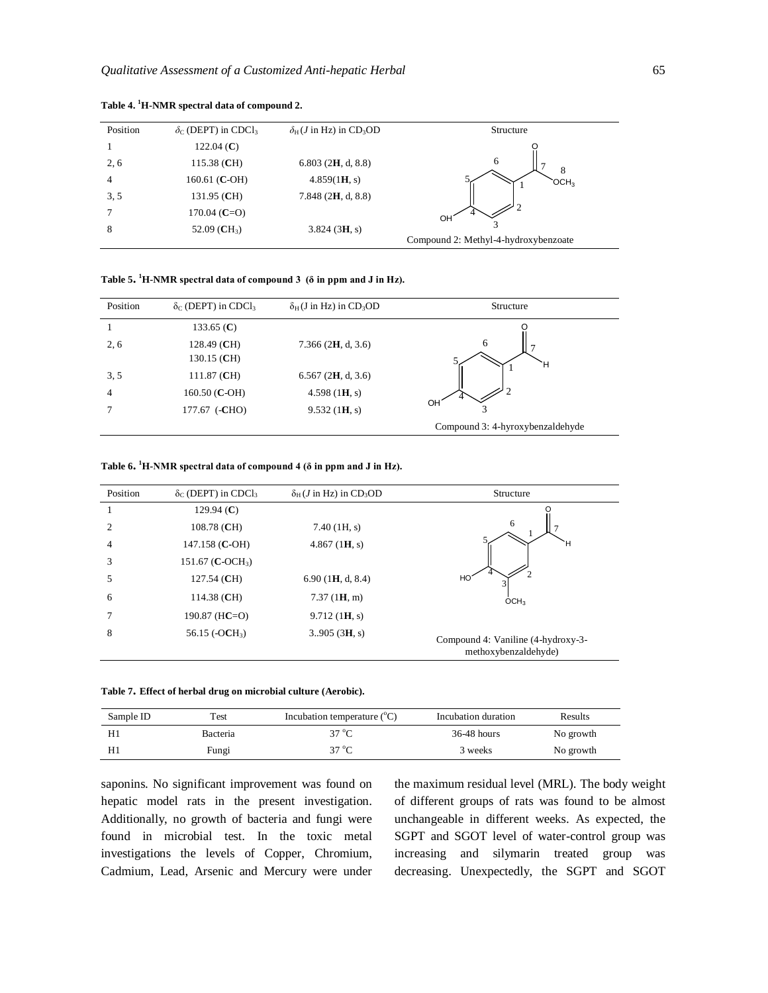| Position | $\delta_c$ (DEPT) in CDCl <sub>3</sub> | $\delta_H$ ( <i>J</i> in Hz) in CD <sub>3</sub> OD | Structure                            |
|----------|----------------------------------------|----------------------------------------------------|--------------------------------------|
|          | 122.04 $(C)$                           |                                                    |                                      |
| 2, 6     | 115.38 (CH)                            | $6.803$ (2H, d, 8.8)                               | 6<br>8                               |
| 4        | 160.61 (C-OH)                          | 4.859(1H, s)                                       | OCH3                                 |
| 3, 5     | 131.95 (CH)                            | $7.848$ (2H, d, 8.8)                               |                                      |
|          | $170.04$ (C=O)                         |                                                    | OH.                                  |
| 8        | 52.09 $(CH_3)$                         | 3.824(3H, s)                                       | Compound 2: Methyl-4-hydroxybenzoate |

#### **Table 4. <sup>1</sup>H-NMR spectral data of compound 2.**

| Table 5. <sup>1</sup> H-NMR spectral data of compound 3 ( $\delta$ in ppm and J in Hz). |  |  |  |  |  |
|-----------------------------------------------------------------------------------------|--|--|--|--|--|
|-----------------------------------------------------------------------------------------|--|--|--|--|--|

| Position | $\delta$ <sub>C</sub> (DEPT) in CDCl <sub>3</sub> | $\delta_H$ (J in Hz) in CD <sub>3</sub> OD | Structure                        |
|----------|---------------------------------------------------|--------------------------------------------|----------------------------------|
|          | 133.65 $(C)$                                      |                                            |                                  |
| 2, 6     | 128.49 (CH)                                       | 7.366 $(2H, d, 3.6)$                       | 6                                |
|          | 130.15 (CH)                                       |                                            | Ħ                                |
| 3, 5     | 111.87 (CH)                                       | $6.567$ (2H, d, 3.6)                       |                                  |
| 4        | $160.50$ (C-OH)                                   | 4.598 $(1H, s)$                            |                                  |
|          | 177.67 (-CHO)                                     | 9.532(1H, s)                               | OH.                              |
|          |                                                   |                                            | Compound 3: 4-hyroxybenzaldehyde |

| Table 6. <sup>1</sup> H-NMR spectral data of compound 4 ( $\delta$ in ppm and J in Hz). |  |  |  |  |  |
|-----------------------------------------------------------------------------------------|--|--|--|--|--|
|-----------------------------------------------------------------------------------------|--|--|--|--|--|

| Position | $\delta_{\rm C}$ (DEPT) in CDCl <sub>3</sub> | $\delta_H$ ( <i>J</i> in Hz) in CD <sub>3</sub> OD | Structure                          |
|----------|----------------------------------------------|----------------------------------------------------|------------------------------------|
|          | 129.94 $(C)$                                 |                                                    |                                    |
| 2        | 108.78 (CH)                                  | $7.40$ (1H, s)                                     | 6                                  |
| 4        | 147.158 (C-OH)                               | $4.867$ (1H, s)                                    | Ή                                  |
| 3        | 151.67 ( <b>C</b> -OCH <sub>3</sub> )        |                                                    |                                    |
| 5        | $127.54$ (CH)                                | 6.90(1H, d, 8.4)                                   | HO                                 |
| 6        | $114.38$ (CH)                                | 7.37(1H, m)                                        | OCH <sub>3</sub>                   |
|          | 190.87 ( $HC=O$ )                            | 9.712(1H, s)                                       |                                    |
| 8        | 56.15 $(-OCH_3)$                             | 3.905(3H, s)                                       | Compound 4: Vaniline (4-hydroxy-3- |
|          |                                              |                                                    | methoxybenzaldehyde)               |

| Sample ID | Test     | Incubation temperature $({}^{\circ}C)$ | Incubation duration | Results   |
|-----------|----------|----------------------------------------|---------------------|-----------|
|           | Bacteria | $37^{\circ}$ C                         | $36-48$ hours       | No growth |
|           | Fungi    | $37^{\circ}$ C                         | 3 weeks             | No growth |

saponins. No significant improvement was found on hepatic model rats in the present investigation. Additionally, no growth of bacteria and fungi were found in microbial test. In the toxic metal investigations the levels of Copper, Chromium, Cadmium, Lead, Arsenic and Mercury were under

the maximum residual level (MRL). The body weight of different groups of rats was found to be almost unchangeable in different weeks. As expected, the SGPT and SGOT level of water-control group was increasing and silymarin treated group was decreasing. Unexpectedly, the SGPT and SGOT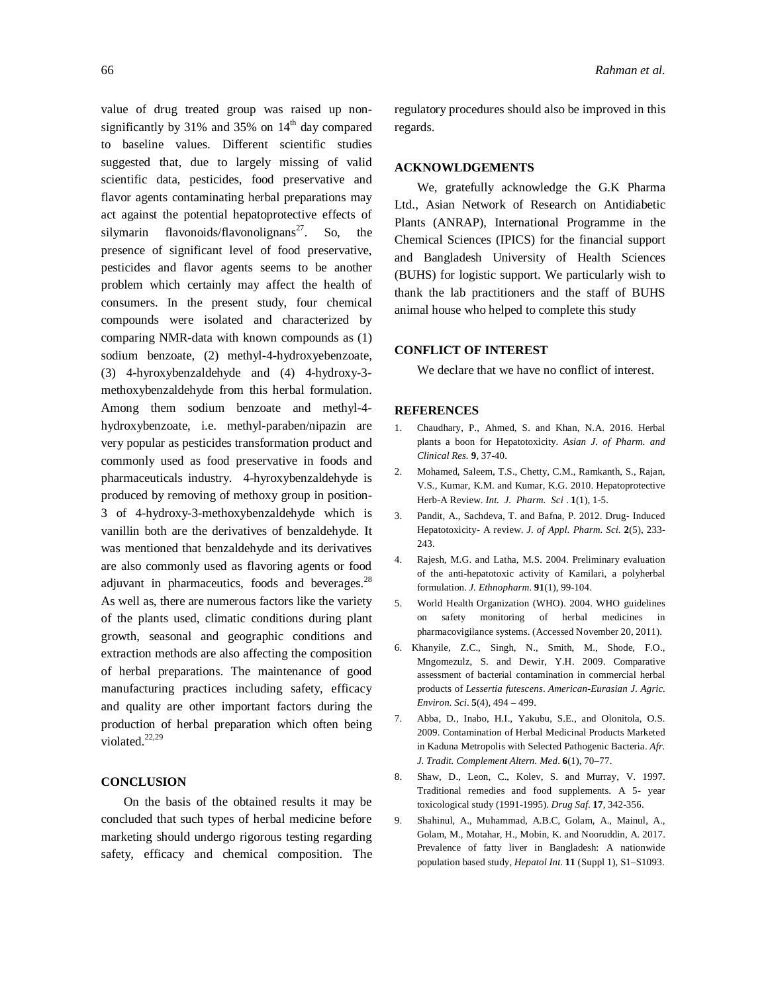value of drug treated group was raised up nonsignificantly by 31% and 35% on  $14<sup>th</sup>$  day compared to baseline values. Different scientific studies suggested that, due to largely missing of valid scientific data, pesticides, food preservative and flavor agents contaminating herbal preparations may act against the potential hepatoprotective effects of silymarin flavonoids/flavonolignans<sup>27</sup>. So, the presence of significant level of food preservative, pesticides and flavor agents seems to be another problem which certainly may affect the health of consumers. In the present study, four chemical compounds were isolated and characterized by comparing NMR-data with known compounds as (1) sodium benzoate, (2) methyl-4-hydroxyebenzoate, (3) 4**-**hyroxybenzaldehyde and (4) 4-hydroxy-3 methoxybenzaldehyde from this herbal formulation. Among them sodium benzoate and methyl-4 hydroxybenzoate, i.e. methyl-paraben/nipazin are very popular as pesticides transformation product and commonly used as food preservative in foods and pharmaceuticals industry. 4-hyroxybenzaldehyde is produced by removing of methoxy group in position-3 of 4-hydroxy-3-methoxybenzaldehyde which is vanillin both are the derivatives of benzaldehyde. It was mentioned that benzaldehyde and its derivatives are also commonly used as flavoring agents or food adjuvant in pharmaceutics, foods and beverages.<sup>28</sup> As well as, there are numerous factors like the variety of the plants used, climatic conditions during plant growth, seasonal and geographic conditions and extraction methods are also affecting the composition of herbal preparations. The maintenance of good manufacturing practices including safety, efficacy and quality are other important factors during the production of herbal preparation which often being violated.<sup>22,29</sup>

#### **CONCLUSION**

On the basis of the obtained results it may be concluded that such types of herbal medicine before marketing should undergo rigorous testing regarding safety, efficacy and chemical composition. The regulatory procedures should also be improved in this regards.

#### **ACKNOWLDGEMENTS**

We, gratefully acknowledge the G.K Pharma Ltd., Asian Network of Research on Antidiabetic Plants (ANRAP), International Programme in the Chemical Sciences (IPICS) for the financial support and Bangladesh University of Health Sciences (BUHS) for logistic support. We particularly wish to thank the lab practitioners and the staff of BUHS animal house who helped to complete this study

#### **CONFLICT OF INTEREST**

We declare that we have no conflict of interest.

#### **REFERENCES**

- 1. Chaudhary, P., Ahmed, S. and Khan, N.A. 2016. Herbal plants a boon for Hepatotoxicity. *Asian J. of Pharm. and Clinical Res.* **9**, 37-40.
- 2. Mohamed, Saleem, T.S., Chetty, C.M., Ramkanth, S., Rajan, V.S., Kumar, K.M. and Kumar, K.G. 2010. Hepatoprotective Herb-A Review. *Int. J. Pharm. Sci* . **1**(1), 1-5.
- 3. Pandit, A., Sachdeva, T. and Bafna, P. 2012. Drug- Induced Hepatotoxicity- A review. *J. of Appl. Pharm. Sci.* **2**(5), 233- 243.
- 4. Rajesh, M.G. and Latha, M.S. 2004. Preliminary evaluation of the anti-hepatotoxic activity of Kamilari, a polyherbal formulation. *J. Ethnopharm*. **91**(1), 99-104.
- 5. World Health Organization (WHO). 2004. WHO guidelines on safety monitoring of herbal medicines in pharmacovigilance systems. (Accessed November 20, 2011).
- 6. Khanyile, Z.C., Singh, N., Smith, M., Shode, F.O., Mngomezulz, S. and Dewir, Y.H. 2009. Comparative assessment of bacterial contamination in commercial herbal products of *Lessertia futescens*. *American-Eurasian J. Agric. Environ. Sci*. **5**(4), 494 – 499.
- 7. Abba, D., Inabo, H.I., Yakubu, S.E., and Olonitola, O.S. 2009. Contamination of Herbal Medicinal Products Marketed in Kaduna Metropolis with Selected Pathogenic Bacteria. *Afr. J. Tradit. Complement Altern. Med*. **6**(1), 70–77.
- 8. Shaw, D., Leon, C., Kolev, S. and Murray, V. 1997. Traditional remedies and food supplements. A 5- year toxicological study (1991-1995). *Drug Saf*. **17**, 342-356.
- 9. Shahinul, A., Muhammad, A.B.C, Golam, A., Mainul, A., Golam, M., Motahar, H., Mobin, K. and Nooruddin, A. 2017. Prevalence of fatty liver in Bangladesh: A nationwide population based study, *Hepatol Int*. **11** (Suppl 1), S1–S1093.